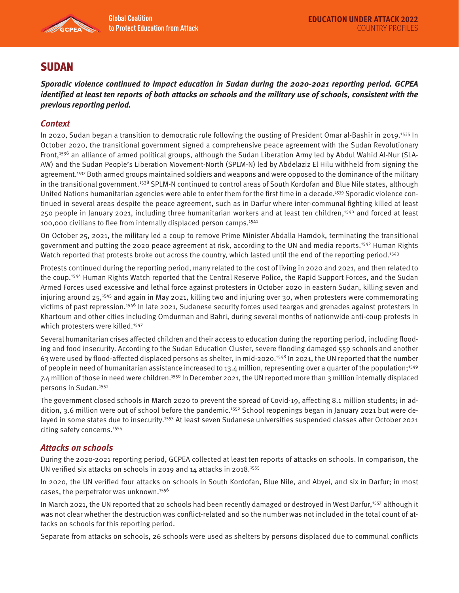

# **SUDAN**

**Sporadic violence continued to impact education in Sudan during the 2020-2021 reporting period. GCPEA identified at least ten reports of both attacks on schools and the military use of schools, consistent with the previous reporting period.** 

## **Context**

In 2020, Sudan began a transition to democratic rule following the ousting of President Omar al-Bashir in 2019.<sup>1535</sup> In October 2020, the transitional government signed a comprehensive peace agreement with the Sudan Revolutionary Front,<sup>1536</sup> an alliance of armed political groups, although the Sudan Liberation Army led by Abdul Wahid Al-Nur (SLA-AW) and the Sudan People's Liberation Movement-North (SPLM-N) led by Abdelaziz El Hilu withheld from signing the agreement.<sup>1537</sup> Both armed groups maintained soldiers and weapons and were opposed to the dominance of the military in the transitional government.<sup>1538</sup> SPLM-N continued to control areas of South Kordofan and Blue Nile states, although United Nations humanitarian agencies were able to enter them for the first time in a decade.1539 Sporadic violence continued in several areas despite the peace agreement, such as in Darfur where inter-communal fighting killed at least 250 people in January 2021, including three humanitarian workers and at least ten children,1540 and forced at least 100,000 civilians to flee from internally displaced person camps.1541

On October 25, 2021, the military led a coup to remove Prime Minister Abdalla Hamdok, terminating the transitional government and putting the 2020 peace agreement at risk, according to the UN and media reports.<sup>1542</sup> Human Rights Watch reported that protests broke out across the country, which lasted until the end of the reporting period.<sup>1543</sup>

Protests continued during the reporting period, many related to the cost of living in 2020 and 2021, and then related to the coup.1544 Human Rights Watch reported that the Central Reserve Police, the Rapid Support Forces, and the Sudan Armed Forces used excessive and lethal force against protesters in October 2020 in eastern Sudan, killing seven and injuring around 25,1545 and again in May 2021, killing two and injuring over 30, when protesters were commemorating victims of past repression.<sup>1546</sup> In late 2021, Sudanese security forces used teargas and grenades against protesters in Khartoum and other cities including Omdurman and Bahri, during several months of nationwide anti-coup protests in which protesters were killed.<sup>1547</sup>

Several humanitarian crises affected children and their access to education during the reporting period, including flooding and food insecurity. According to the Sudan Education Cluster, severe flooding damaged 559 schools and another 63 were used by flood-affected displaced persons as shelter, in mid-2020.1548 In 2021, the UN reported that the number of people in need of humanitarian assistance increased to 13.4 million, representing over a quarter of the population;<sup>1549</sup> 7.4 million of those in need were children.<sup>1550</sup> In December 2021, the UN reported more than 3 million internally displaced persons in Sudan.<sup>1551</sup>

The government closed schools in March 2020 to prevent the spread of Covid-19, affecting 8.1 million students; in addition, 3.6 million were out of school before the pandemic.<sup>1552</sup> School reopenings began in January 2021 but were delayed in some states due to insecurity.<sup>1553</sup> At least seven Sudanese universities suspended classes after October 2021 citing safety concerns.1554

### **Attacks on schools**

During the 2020-2021 reporting period, GCPEA collected at least ten reports of attacks on schools. In comparison, the UN verified six attacks on schools in 2019 and 14 attacks in 2018.1555

In 2020, the UN verified four attacks on schools in South Kordofan, Blue Nile, and Abyei, and six in Darfur; in most cases, the perpetrator was unknown.1556

In March 2021, the UN reported that 20 schools had been recently damaged or destroyed in West Darfur,<sup>1557</sup> although it was not clear whether the destruction was conflict-related and so the number was not included in the total count of attacks on schools for this reporting period.

Separate from attacks on schools, 26 schools were used as shelters by persons displaced due to communal conflicts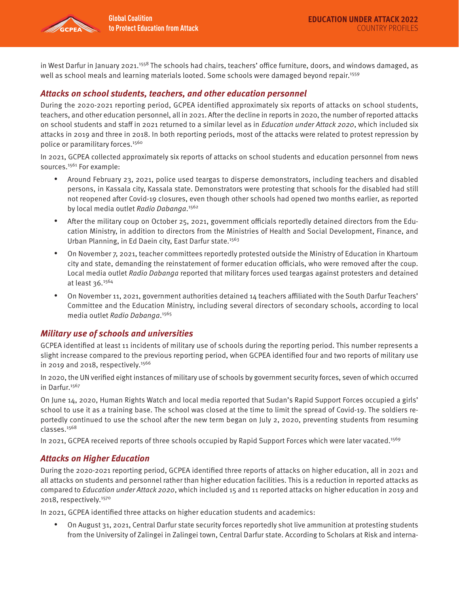in West Darfur in January 2021.<sup>1558</sup> The schools had chairs, teachers' office furniture, doors, and windows damaged, as well as school meals and learning materials looted. Some schools were damaged beyond repair.<sup>1559</sup>

### **Attacks on school students, teachers, and other education personnel**

During the 2020-2021 reporting period, GCPEA identified approximately six reports of attacks on school students, teachers, and other education personnel, all in 2021. After the decline in reports in 2020, the number of reported attacks on school students and staff in 2021 returned to a similar level as in Education under Attack 2020, which included six attacks in 2019 and three in 2018. In both reporting periods, most of the attacks were related to protest repression by police or paramilitary forces.<sup>1560</sup>

In 2021, GCPEA collected approximately six reports of attacks on school students and education personnel from news sources.<sup>1561</sup> For example:

- Around February 23, 2021, police used teargas to disperse demonstrators, including teachers and disabled persons, in Kassala city, Kassala state. Demonstrators were protesting that schools for the disabled had still not reopened after Covid-19 closures, even though other schools had opened two months earlier, as reported by local media outlet Radio Dabanga.<sup>1562</sup>
- After the military coup on October 25, 2021, government officials reportedly detained directors from the Education Ministry, in addition to directors from the Ministries of Health and Social Development, Finance, and Urban Planning, in Ed Daein city, East Darfur state.<sup>1563</sup>
- On November 7, 2021, teacher committees reportedly protested outside the Ministry of Education in Khartoum city and state, demanding the reinstatement of former education officials, who were removed after the coup. Local media outlet Radio Dabanga reported that military forces used teargas against protesters and detained at least 36.1564
- On November 11, 2021, government authorities detained 14 teachers affiliated with the South Darfur Teachers' Committee and the Education Ministry, including several directors of secondary schools, according to local media outlet Radio Dabanga.<sup>1565</sup>

### **Military use of schools and universities**

GCPEA identified at least 11 incidents of military use of schools during the reporting period. This number represents a slight increase compared to the previous reporting period, when GCPEA identified four and two reports of military use in 2019 and 2018, respectively. $1566$ 

In 2020, the UN verified eight instances of military use of schools by government security forces, seven of which occurred in Darfur.<sup>1567</sup>

On June 14, 2020, Human Rights Watch and local media reported that Sudan's Rapid Support Forces occupied a girls' school to use it as a training base. The school was closed at the time to limit the spread of Covid-19. The soldiers reportedly continued to use the school after the new term began on July 2, 2020, preventing students from resuming classes.1568

In 2021, GCPEA received reports of three schools occupied by Rapid Support Forces which were later vacated.1569

### **Attacks on Higher Education**

During the 2020-2021 reporting period, GCPEA identified three reports of attacks on higher education, all in 2021 and all attacks on students and personnel rather than higher education facilities. This is a reduction in reported attacks as compared to Education under Attack 2020, which included 15 and 11 reported attacks on higher education in 2019 and 2018, respectively.1570

In 2021, GCPEA identified three attacks on higher education students and academics:

• On August 31, 2021, Central Darfur state security forces reportedly shot live ammunition at protesting students from the University of Zalingei in Zalingei town, Central Darfur state. According to Scholars at Risk and interna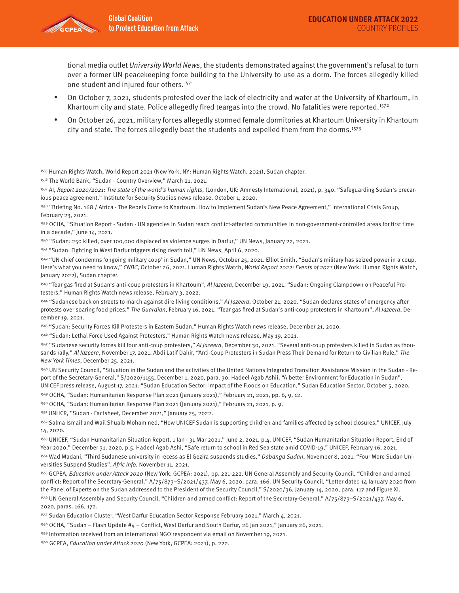tional media outlet University World News, the students demonstrated against the government's refusal to turn over a former UN peacekeeping force building to the University to use as a dorm. The forces allegedly killed one student and injured four others.<sup>1571</sup>

- On October 7, 2021, students protested over the lack of electricity and water at the University of Khartoum, in Khartoum city and state. Police allegedly fired teargas into the crowd. No fatalities were reported.<sup>1572</sup>
- On October 26, 2021, military forces allegedly stormed female dormitories at Khartoum University in Khartoum city and state. The forces allegedly beat the students and expelled them from the dorms.1573

1535 Human Rights Watch, World Report 2021 (New York, NY: Human Rights Watch, 2021), Sudan chapter.

1536 The World Bank, "Sudan - Country Overview," March 21, 2021.

1537 AI, Report 2020/2021: The state of the world's human rights, (London, UK: Amnesty International, 2021), p. 340. "Safeguarding Sudan's precarious peace agreement," Institute for Security Studies news release, October 1, 2020.

1538 "Briefing No. 168 / Africa - The Rebels Come to Khartoum: How to Implement Sudan's New Peace Agreement," International Crisis Group, February 23, 2021.

1539 OCHA, "Situation Report - Sudan - UN agencies in Sudan reach conflict-affected communities in non-government-controlled areas for first time in a decade," June 14, 2021.

1540 "Sudan: 250 killed, over 100,000 displaced as violence surges in Darfur," UN News, January 22, 2021.

1541 "Sudan: Fighting in West Darfur triggers rising death toll," UN News, April 6, 2020.

1542 "UN chief condemns 'ongoing military coup' in Sudan," UN News, October 25, 2021. Elliot Smith, "Sudan's military has seized power in a coup. Here's what you need to know," CNBC, October 26, 2021. Human Rights Watch, World Report 2022: Events of 2021 (New York: Human Rights Watch, January 2022), Sudan chapter.

1543 "Tear gas fired at Sudan's anti-coup protesters in Khartoum", Al Jazeera, December 19, 2021. "Sudan: Ongoing Clampdown on Peaceful Protesters," Human Rights Watch news release, February 3, 2022.

<sup>1544</sup> "Sudanese back on streets to march against dire living conditions," Al Jazeera, October 21, 2020. "Sudan declares states of emergency after protests over soaring food prices," The Guardian, February 16, 2021. "Tear gas fired at Sudan's anti-coup protesters in Khartoum", Al Jazeera, December 19, 2021.

1545 "Sudan: Security Forces Kill Protesters in Eastern Sudan," Human Rights Watch news release, December 21, 2020.

1546 "Sudan: Lethal Force Used Against Protesters," Human Rights Watch news release, May 19, 2021.

1547 "Sudanese security forces kill four anti-coup protesters," Al Jazeera, December 30, 2021. "Several anti-coup protesters killed in Sudan as thousands rally," Al Jazeera, November 17, 2021. Abdi Latif Dahir, "Anti-Coup Protesters in Sudan Press Their Demand for Return to Civilian Rule," The New York Times, December 25, 2021.

1548 UN Security Council, "Situation in the Sudan and the activities of the United Nations Integrated Transition Assistance Mission in the Sudan - Report of the Secretary-General," S/2020/1155, December 1, 2020, para. 30. Hadeel Agab Ashii, "A better Environment for Education in Sudan", UNICEF press release, August 17, 2021. "Sudan Education Sector: Impact of the Floods on Education," Sudan Education Sector, October 5, 2020.

1549 OCHA, "Sudan: Humanitarian Response Plan 2021 (January 2021)," February 21, 2021, pp. 6, 9, 12.

1550 OCHA, "Sudan: Humanitarian Response Plan 2021 (January 2021)," February 21, 2021, p. 9.

1551 UNHCR, "Sudan - Factsheet, December 2021," January 25, 2022.

1552 Salma Ismail and Wail Shuaib Mohammed, "How UNICEF Sudan is supporting children and families affected by school closures," UNICEF, July 14, 2020.

1553 UNICEF, "Sudan Humanitarian Situation Report, 1 Jan - 31 Mar 2021," June 2, 2021, p.4. UNICEF, "Sudan Humanitarian Situation Report, End of Year 2020," December 31, 2020, p.5. Hadeel Agab Ashi, "Safe return to school in Red Sea state amid COVID-19," UNICEF, February 16, 2021.

1554 Wad Madani, "Third Sudanese university in recess as El Gezira suspends studies," Dabanga Sudan, November 8, 2021. "Four More Sudan Universities Suspend Studies", Afric Info, November 11, 2021.

1555 GCPEA, Education under Attack 2020 (New York, GCPEA: 2021), pp. 221-222. UN General Assembly and Security Council, "Children and armed conflict: Report of the Secretary-General," A/75/873–S/2021/437, May 6, 2020, para. 166. UN Security Council, "Letter dated 14 January 2020 from the Panel of Experts on the Sudan addressed to the President of the Security Council," S/2020/36, January 14, 2020, para. 117 and Figure XI.

1556 UN General Assembly and Security Council, "Children and armed conflict: Report of the Secretary-General," A/75/873-S/2021/437, May 6, 2020, paras. 166, 172.

1557 Sudan Education Cluster, "West Darfur Education Sector Response February 2021," March 4, 2021.

1558 OCHA, "Sudan – Flash Update #4 – Conflict, West Darfur and South Darfur, 26 Jan 2021," January 26, 2021.

1559 Information received from an international NGO respondent via email on November 19, 2021.

1560 GCPEA, Education under Attack 2020 (New York, GCPEA: 2021), p. 222.